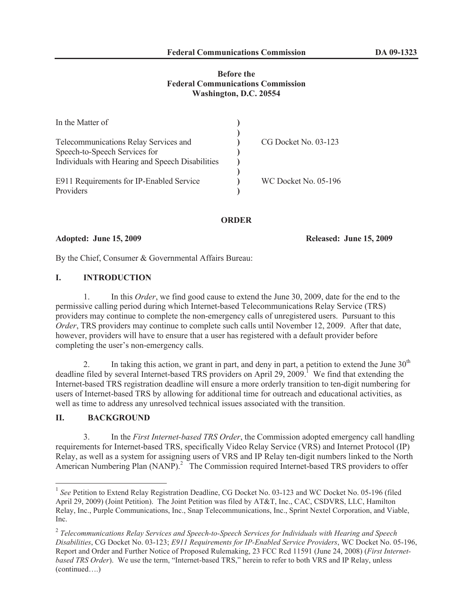## **Before the Federal Communications Commission Washington, D.C. 20554**

| In the Matter of                                 |                      |
|--------------------------------------------------|----------------------|
|                                                  |                      |
| Telecommunications Relay Services and            | CG Docket No. 03-123 |
| Speech-to-Speech Services for                    |                      |
| Individuals with Hearing and Speech Disabilities |                      |
|                                                  |                      |
| E911 Requirements for IP-Enabled Service         | WC Docket No. 05-196 |
| Providers                                        |                      |

**ORDER**

**Adopted: June 15, 2009 Released: June 15, 2009**

By the Chief, Consumer & Governmental Affairs Bureau:

## **I. INTRODUCTION**

1. In this *Order*, we find good cause to extend the June 30, 2009, date for the end to the permissive calling period during which Internet-based Telecommunications Relay Service (TRS) providers may continue to complete the non-emergency calls of unregistered users. Pursuant to this *Order*, TRS providers may continue to complete such calls until November 12, 2009. After that date, however, providers will have to ensure that a user has registered with a default provider before completing the user's non-emergency calls.

2. In taking this action, we grant in part, and deny in part, a petition to extend the June  $30<sup>th</sup>$ deadline filed by several Internet-based TRS providers on April 29, 2009.<sup>1</sup> We find that extending the Internet-based TRS registration deadline will ensure a more orderly transition to ten-digit numbering for users of Internet-based TRS by allowing for additional time for outreach and educational activities, as well as time to address any unresolved technical issues associated with the transition.

# **II. BACKGROUND**

3. In the *First Internet-based TRS Order*, the Commission adopted emergency call handling requirements for Internet-based TRS, specifically Video Relay Service (VRS) and Internet Protocol (IP) Relay, as well as a system for assigning users of VRS and IP Relay ten-digit numbers linked to the North American Numbering Plan (NANP).<sup>2</sup> The Commission required Internet-based TRS providers to offer

<sup>&</sup>lt;sup>1</sup> See Petition to Extend Relay Registration Deadline, CG Docket No. 03-123 and WC Docket No. 05-196 (filed April 29, 2009) (Joint Petition). The Joint Petition was filed by AT&T, Inc., CAC, CSDVRS, LLC, Hamilton Relay, Inc., Purple Communications, Inc., Snap Telecommunications, Inc., Sprint Nextel Corporation, and Viable, Inc.

<sup>2</sup> *Telecommunications Relay Services and Speech-to-Speech Services for Individuals with Hearing and Speech Disabilities*, CG Docket No. 03-123; *E911 Requirements for IP-Enabled Service Providers*, WC Docket No. 05-196, Report and Order and Further Notice of Proposed Rulemaking, 23 FCC Rcd 11591 (June 24, 2008) (*First Internetbased TRS Order*). We use the term, "Internet-based TRS," herein to refer to both VRS and IP Relay, unless (continued….)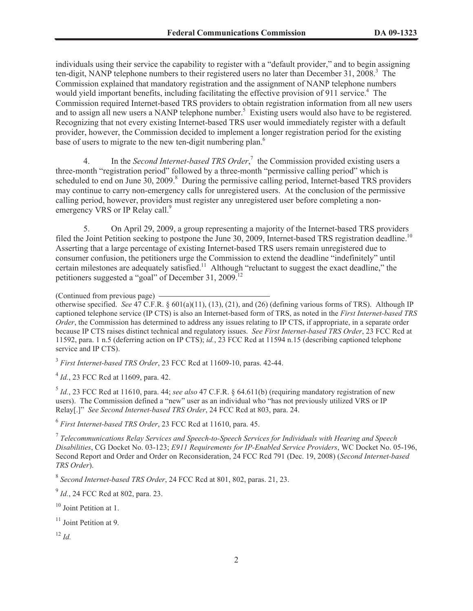individuals using their service the capability to register with a "default provider," and to begin assigning ten-digit, NANP telephone numbers to their registered users no later than December 31, 2008.<sup>3</sup> The Commission explained that mandatory registration and the assignment of NANP telephone numbers would yield important benefits, including facilitating the effective provision of 911 service.<sup>4</sup> The Commission required Internet-based TRS providers to obtain registration information from all new users and to assign all new users a NANP telephone number.<sup>5</sup> Existing users would also have to be registered. Recognizing that not every existing Internet-based TRS user would immediately register with a default provider, however, the Commission decided to implement a longer registration period for the existing base of users to migrate to the new ten-digit numbering plan.<sup>6</sup>

4. In the *Second Internet-based TRS Order*, 7 the Commission provided existing users a three-month "registration period" followed by a three-month "permissive calling period" which is scheduled to end on June 30, 2009.<sup>8</sup> During the permissive calling period, Internet-based TRS providers may continue to carry non-emergency calls for unregistered users. At the conclusion of the permissive calling period, however, providers must register any unregistered user before completing a nonemergency VRS or IP Relay call.<sup>9</sup>

5. On April 29, 2009, a group representing a majority of the Internet-based TRS providers filed the Joint Petition seeking to postpone the June 30, 2009, Internet-based TRS registration deadline.<sup>10</sup> Asserting that a large percentage of existing Internet-based TRS users remain unregistered due to consumer confusion, the petitioners urge the Commission to extend the deadline "indefinitely" until certain milestones are adequately satisfied.<sup>11</sup> Although "reluctant to suggest the exact deadline," the petitioners suggested a "goal" of December 31, 2009.<sup>12</sup>

3 *First Internet-based TRS Order*, 23 FCC Rcd at 11609-10, paras. 42-44.

4 *Id.*, 23 FCC Rcd at 11609, para. 42.

5 *Id.*, 23 FCC Rcd at 11610, para. 44; *see also* 47 C.F.R. § 64.611(b) (requiring mandatory registration of new users). The Commission defined a "new" user as an individual who "has not previously utilized VRS or IP Relay[.]" *See Second Internet-based TRS Order*, 24 FCC Rcd at 803, para. 24.

6 *First Internet-based TRS Order*, 23 FCC Rcd at 11610, para. 45.

7 *Telecommunications Relay Services and Speech-to-Speech Services for Individuals with Hearing and Speech Disabilities*, CG Docket No. 03-123; *E911 Requirements for IP-Enabled Service Providers*, WC Docket No. 05-196, Second Report and Order and Order on Reconsideration, 24 FCC Rcd 791 (Dec. 19, 2008) (*Second Internet-based TRS Order*).

8 *Second Internet-based TRS Order*, 24 FCC Rcd at 801, 802, paras. 21, 23.

<sup>9</sup> *Id.*, 24 FCC Rcd at 802, para. 23.

<sup>10</sup> Joint Petition at 1.

 $11$  Joint Petition at 9.

 $12 \, H$ 

<sup>(</sup>Continued from previous page)

otherwise specified. *See* 47 C.F.R. § 601(a)(11), (13), (21), and (26) (defining various forms of TRS). Although IP captioned telephone service (IP CTS) is also an Internet-based form of TRS, as noted in the *First Internet-based TRS Order*, the Commission has determined to address any issues relating to IP CTS, if appropriate, in a separate order because IP CTS raises distinct technical and regulatory issues. *See First Internet-based TRS Order*, 23 FCC Rcd at 11592, para. 1 n.5 (deferring action on IP CTS); *id.*, 23 FCC Rcd at 11594 n.15 (describing captioned telephone service and IP CTS).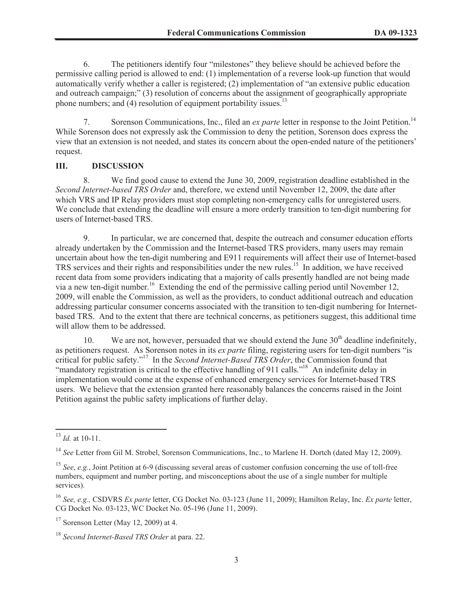6. The petitioners identify four "milestones" they believe should be achieved before the permissive calling period is allowed to end: (1) implementation of a reverse look-up function that would automatically verify whether a caller is registered; (2) implementation of "an extensive public education and outreach campaign;" (3) resolution of concerns about the assignment of geographically appropriate phone numbers; and  $(4)$  resolution of equipment portability issues.<sup>13</sup>

7. Sorenson Communications, Inc., filed an *ex parte* letter in response to the Joint Petition.<sup>14</sup> While Sorenson does not expressly ask the Commission to deny the petition, Sorenson does express the view that an extension is not needed, and states its concern about the open-ended nature of the petitioners' request.

## **III. DISCUSSION**

8. We find good cause to extend the June 30, 2009, registration deadline established in the *Second Internet-based TRS Order* and, therefore, we extend until November 12, 2009, the date after which VRS and IP Relay providers must stop completing non-emergency calls for unregistered users. We conclude that extending the deadline will ensure a more orderly transition to ten-digit numbering for users of Internet-based TRS.

9. In particular, we are concerned that, despite the outreach and consumer education efforts already undertaken by the Commission and the Internet-based TRS providers, many users may remain uncertain about how the ten-digit numbering and E911 requirements will affect their use of Internet-based TRS services and their rights and responsibilities under the new rules.<sup>15</sup> In addition, we have received recent data from some providers indicating that a majority of calls presently handled are not being made via a new ten-digit number.<sup>16</sup> Extending the end of the permissive calling period until November 12, 2009, will enable the Commission, as well as the providers, to conduct additional outreach and education addressing particular consumer concerns associated with the transition to ten-digit numbering for Internetbased TRS. And to the extent that there are technical concerns, as petitioners suggest, this additional time will allow them to be addressed.

10. We are not, however, persuaded that we should extend the June  $30<sup>th</sup>$  deadline indefinitely, as petitioners request. As Sorenson notes in its *ex parte* filing, registering users for ten-digit numbers "is critical for public safety."<sup>17</sup> In the *Second Internet-Based TRS Order*, the Commission found that "mandatory registration is critical to the effective handling of 911 calls."<sup>18</sup> An indefinite delay in implementation would come at the expense of enhanced emergency services for Internet-based TRS users. We believe that the extension granted here reasonably balances the concerns raised in the Joint Petition against the public safety implications of further delay.

<sup>13</sup> *Id.* at 10-11.

<sup>14</sup> *See* Letter from Gil M. Strobel, Sorenson Communications, Inc., to Marlene H. Dortch (dated May 12, 2009).

<sup>15</sup> *See*, *e.g.*, Joint Petition at 6-9 (discussing several areas of customer confusion concerning the use of toll-free numbers, equipment and number porting, and misconceptions about the use of a single number for multiple services).

<sup>16</sup> *See, e.g.,* CSDVRS *Ex parte* letter, CG Docket No. 03-123 (June 11, 2009); Hamilton Relay, Inc. *Ex parte* letter, CG Docket No. 03-123, WC Docket No. 05-196 (June 11, 2009).

<sup>17</sup> Sorenson Letter (May 12, 2009) at 4.

<sup>18</sup> *Second Internet-Based TRS Order* at para. 22.